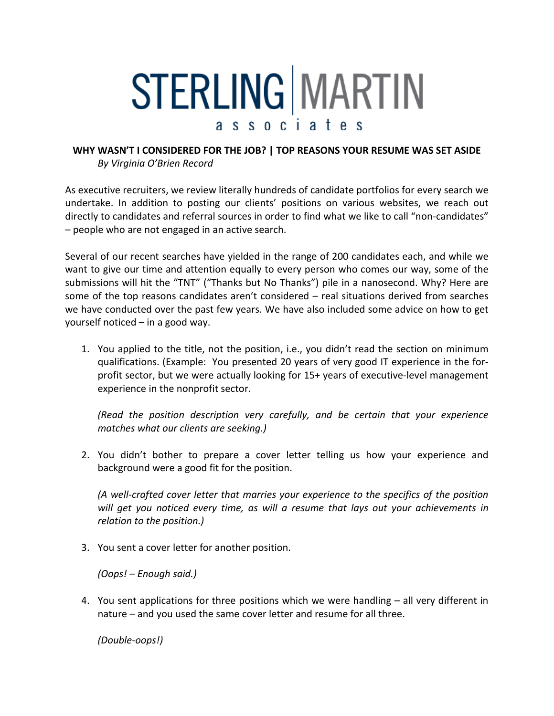## STERLING MARTIN ssociates

## **WHY WASN'T I CONSIDERED FOR THE JOB? | TOP REASONS YOUR RESUME WAS SET ASIDE** *By Virginia O'Brien Record*

As executive recruiters, we review literally hundreds of candidate portfolios for every search we undertake. In addition to posting our clients' positions on various websites, we reach out directly to candidates and referral sources in order to find what we like to call "non-candidates" – people who are not engaged in an active search.

Several of our recent searches have yielded in the range of 200 candidates each, and while we want to give our time and attention equally to every person who comes our way, some of the submissions will hit the "TNT" ("Thanks but No Thanks") pile in a nanosecond. Why? Here are some of the top reasons candidates aren't considered – real situations derived from searches we have conducted over the past few years. We have also included some advice on how to get yourself noticed – in a good way.

1. You applied to the title, not the position, i.e., you didn't read the section on minimum qualifications. (Example: You presented 20 years of very good IT experience in the forprofit sector, but we were actually looking for 15+ years of executive-level management experience in the nonprofit sector.

*(Read the position description very carefully, and be certain that your experience matches what our clients are seeking.)*

2. You didn't bother to prepare a cover letter telling us how your experience and background were a good fit for the position.

*(A well-crafted cover letter that marries your experience to the specifics of the position will get you noticed every time, as will a resume that lays out your achievements in relation to the position.)*

3. You sent a cover letter for another position.

*(Oops! – Enough said.)*

4. You sent applications for three positions which we were handling – all very different in nature – and you used the same cover letter and resume for all three.

*(Double-oops!)*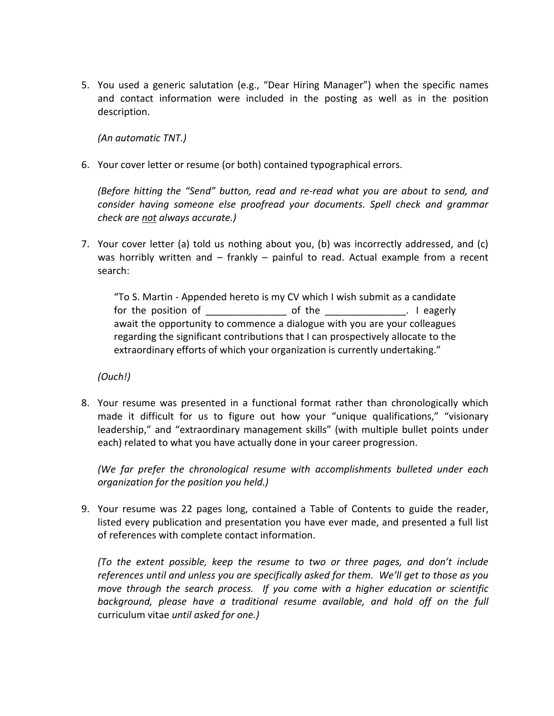5. You used a generic salutation (e.g., "Dear Hiring Manager") when the specific names and contact information were included in the posting as well as in the position description.

*(An automatic TNT.)*

6. Your cover letter or resume (or both) contained typographical errors.

*(Before hitting the "Send" button, read and re-read what you are about to send, and consider having someone else proofread your documents. Spell check and grammar check are not always accurate.)*

7. Your cover letter (a) told us nothing about you, (b) was incorrectly addressed, and (c) was horribly written and – frankly – painful to read. Actual example from a recent search:

"To S. Martin - Appended hereto is my CV which I wish submit as a candidate for the position of \_\_\_\_\_\_\_\_\_\_\_\_\_\_\_ of the \_\_\_\_\_\_\_\_\_\_\_\_\_\_\_. I eagerly await the opportunity to commence a dialogue with you are your colleagues regarding the significant contributions that I can prospectively allocate to the extraordinary efforts of which your organization is currently undertaking."

*(Ouch!)*

8. Your resume was presented in a functional format rather than chronologically which made it difficult for us to figure out how your "unique qualifications," "visionary leadership," and "extraordinary management skills" (with multiple bullet points under each) related to what you have actually done in your career progression.

*(We far prefer the chronological resume with accomplishments bulleted under each organization for the position you held.)*

9. Your resume was 22 pages long, contained a Table of Contents to guide the reader, listed every publication and presentation you have ever made, and presented a full list of references with complete contact information.

*(To the extent possible, keep the resume to two or three pages, and don't include references until and unless you are specifically asked for them. We'll get to those as you move through the search process. If you come with a higher education or scientific*  background, please have a traditional resume available, and hold off on the full curriculum vitae *until asked for one.)*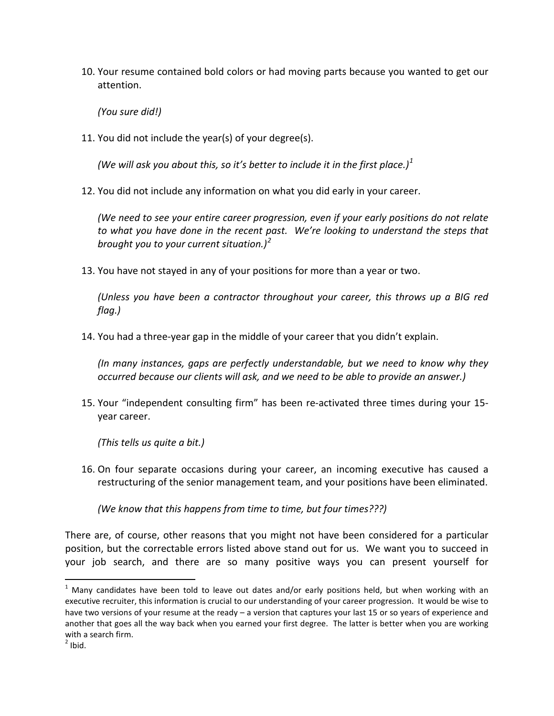10. Your resume contained bold colors or had moving parts because you wanted to get our attention.

*(You sure did!)*

11. You did not include the year(s) of your degree(s).

*(We will ask you about this, so it's better to include it in the first place.)[1](#page-2-0)*

12. You did not include any information on what you did early in your career.

*(We need to see your entire career progression, even if your early positions do not relate to what you have done in the recent past. We're looking to understand the steps that brought you to your current situation.) [2](#page-2-1)*

13. You have not stayed in any of your positions for more than a year or two.

*(Unless you have been a contractor throughout your career, this throws up a BIG red flag.)*

14. You had a three-year gap in the middle of your career that you didn't explain.

*(In many instances, gaps are perfectly understandable, but we need to know why they occurred because our clients will ask, and we need to be able to provide an answer.)*

15. Your "independent consulting firm" has been re-activated three times during your 15 year career.

*(This tells us quite a bit.)*

16. On four separate occasions during your career, an incoming executive has caused a restructuring of the senior management team, and your positions have been eliminated.

*(We know that this happens from time to time, but four times???)*

There are, of course, other reasons that you might not have been considered for a particular position, but the correctable errors listed above stand out for us. We want you to succeed in your job search, and there are so many positive ways you can present yourself for

 $\overline{a}$ 

<span id="page-2-1"></span><span id="page-2-0"></span> $<sup>1</sup>$  Many candidates have been told to leave out dates and/or early positions held, but when working with an</sup> executive recruiter, this information is crucial to our understanding of your career progression. It would be wise to have two versions of your resume at the ready – a version that captures your last 15 or so years of experience and another that goes all the way back when you earned your first degree. The latter is better when you are working with a search firm.